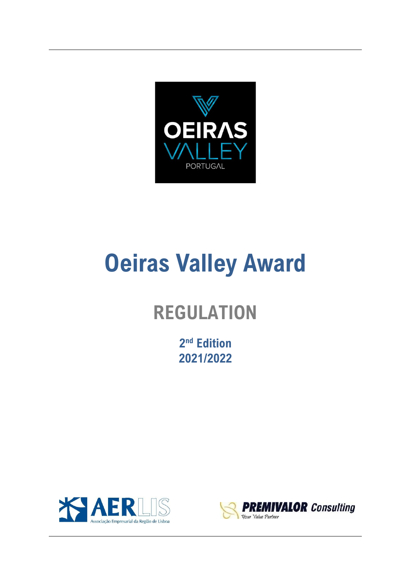

# **Oeiras Valley Award**

# **REGULATION**

**2 nd Edition 2021/2022**



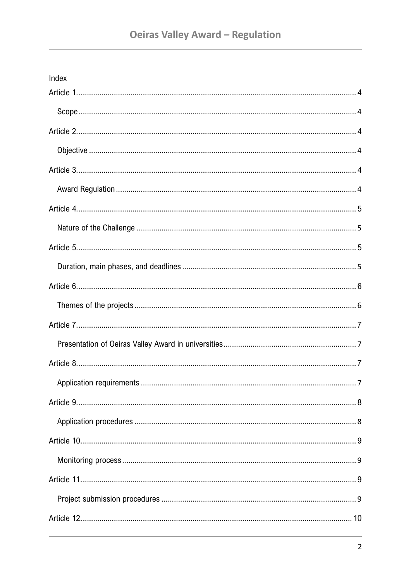| Index |  |
|-------|--|
|       |  |
|       |  |
|       |  |
|       |  |
|       |  |
|       |  |
|       |  |
|       |  |
|       |  |
|       |  |
|       |  |
|       |  |
|       |  |
|       |  |
|       |  |
|       |  |
|       |  |
|       |  |
|       |  |
|       |  |
|       |  |
|       |  |
|       |  |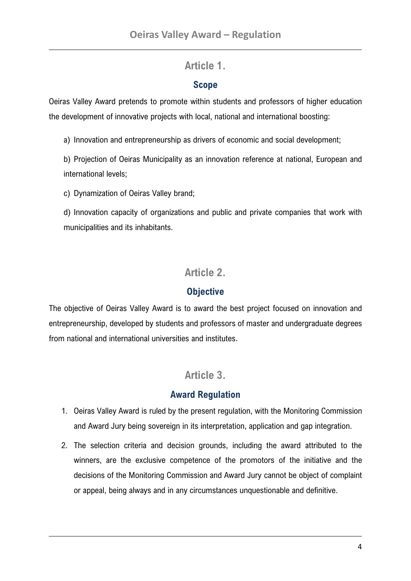### **Article 1.**

#### **Scope**

<span id="page-3-1"></span><span id="page-3-0"></span>Oeiras Valley Award pretends to promote within students and professors of higher education the development of innovative projects with local, national and international boosting:

a) Innovation and entrepreneurship as drivers of economic and social development;

b) Projection of Oeiras Municipality as an innovation reference at national, European and international levels;

c) Dynamization of Oeiras Valley brand;

d) Innovation capacity of organizations and public and private companies that work with municipalities and its inhabitants.

# **Article 2.**

#### **Objective**

<span id="page-3-3"></span><span id="page-3-2"></span>The objective of Oeiras Valley Award is to award the best project focused on innovation and entrepreneurship, developed by students and professors of master and undergraduate degrees from national and international universities and institutes.

# **Article 3.**

#### **Award Regulation**

- <span id="page-3-5"></span><span id="page-3-4"></span>1. Oeiras Valley Award is ruled by the present regulation, with the Monitoring Commission and Award Jury being sovereign in its interpretation, application and gap integration.
- 2. The selection criteria and decision grounds, including the award attributed to the winners, are the exclusive competence of the promotors of the initiative and the decisions of the Monitoring Commission and Award Jury cannot be object of complaint or appeal, being always and in any circumstances unquestionable and definitive.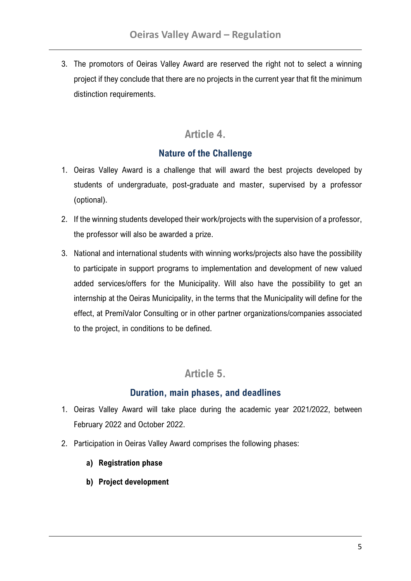3. The promotors of Oeiras Valley Award are reserved the right not to select a winning project if they conclude that there are no projects in the current year that fit the minimum distinction requirements.

# **Article 4.**

#### **Nature of the Challenge**

- <span id="page-4-1"></span><span id="page-4-0"></span>1. Oeiras Valley Award is a challenge that will award the best projects developed by students of undergraduate, post-graduate and master, supervised by a professor (optional).
- 2. If the winning students developed their work/projects with the supervision of a professor, the professor will also be awarded a prize.
- 3. National and international students with winning works/projects also have the possibility to participate in support programs to implementation and development of new valued added services/offers for the Municipality. Will also have the possibility to get an internship at the Oeiras Municipality, in the terms that the Municipality will define for the effect, at PremiValor Consulting or in other partner organizations/companies associated to the project, in conditions to be defined.

# **Article 5.**

#### **Duration, main phases, and deadlines**

- <span id="page-4-3"></span><span id="page-4-2"></span>1. Oeiras Valley Award will take place during the academic year 2021/2022, between February 2022 and October 2022.
- 2. Participation in Oeiras Valley Award comprises the following phases:
	- **a) Registration phase**
	- **b) Project development**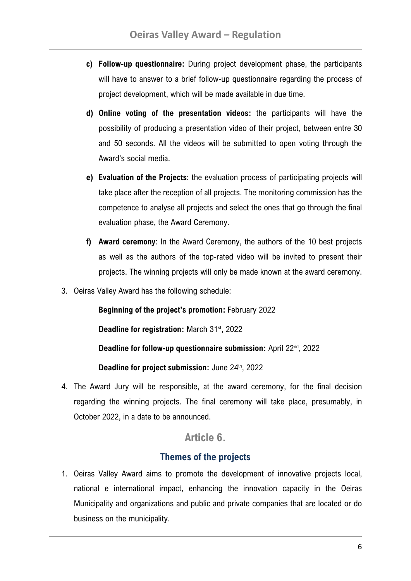- **c) Follow-up questionnaire:** During project development phase, the participants will have to answer to a brief follow-up questionnaire regarding the process of project development, which will be made available in due time.
- **d) Online voting of the presentation videos:** the participants will have the possibility of producing a presentation video of their project, between entre 30 and 50 seconds. All the videos will be submitted to open voting through the Award's social media.
- **e) Evaluation of the Projects**: the evaluation process of participating projects will take place after the reception of all projects. The monitoring commission has the competence to analyse all projects and select the ones that go through the final evaluation phase, the Award Ceremony.
- **f) Award ceremony**: In the Award Ceremony, the authors of the 10 best projects as well as the authors of the top-rated video will be invited to present their projects. The winning projects will only be made known at the award ceremony.
- 3. Oeiras Valley Award has the following schedule:

**Beginning of the project's promotion:** February 2022

Deadline for registration: March 31<sup>st</sup>, 2022

**Deadline for follow-up questionnaire submission:** April 22<sup>nd</sup>, 2022

Deadline for project submission: June 24<sup>th</sup>, 2022

4. The Award Jury will be responsible, at the award ceremony, for the final decision regarding the winning projects. The final ceremony will take place, presumably, in October 2022, in a date to be announced.

#### **Article 6.**

#### **Themes of the projects**

<span id="page-5-1"></span><span id="page-5-0"></span>1. Oeiras Valley Award aims to promote the development of innovative projects local, national e international impact, enhancing the innovation capacity in the Oeiras Municipality and organizations and public and private companies that are located or do business on the municipality.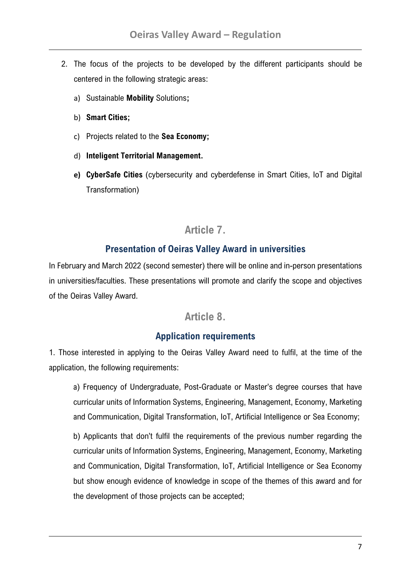- 2. The focus of the projects to be developed by the different participants should be centered in the following strategic areas:
	- a) Sustainable **Mobility** Solutions**;**
	- b) **Smart Cities;**
	- c) Projects related to the **Sea Economy;**
	- d) **Inteligent Territorial Management.**
	- **e) CyberSafe Cities** (cybersecurity and cyberdefense in Smart Cities, IoT and Digital Transformation)

#### **Article 7.**

#### **Presentation of Oeiras Valley Award in universities**

<span id="page-6-1"></span><span id="page-6-0"></span>In February and March 2022 (second semester) there will be online and in-person presentations in universities/faculties. These presentations will promote and clarify the scope and objectives of the Oeiras Valley Award.

#### **Article 8.**

#### **Application requirements**

<span id="page-6-3"></span><span id="page-6-2"></span>1. Those interested in applying to the Oeiras Valley Award need to fulfil, at the time of the application, the following requirements:

a) Frequency of Undergraduate, Post-Graduate or Master's degree courses that have curricular units of Information Systems, Engineering, Management, Economy, Marketing and Communication, Digital Transformation, IoT, Artificial Intelligence or Sea Economy;

b) Applicants that don't fulfil the requirements of the previous number regarding the curricular units of Information Systems, Engineering, Management, Economy, Marketing and Communication, Digital Transformation, IoT, Artificial Intelligence or Sea Economy but show enough evidence of knowledge in scope of the themes of this award and for the development of those projects can be accepted;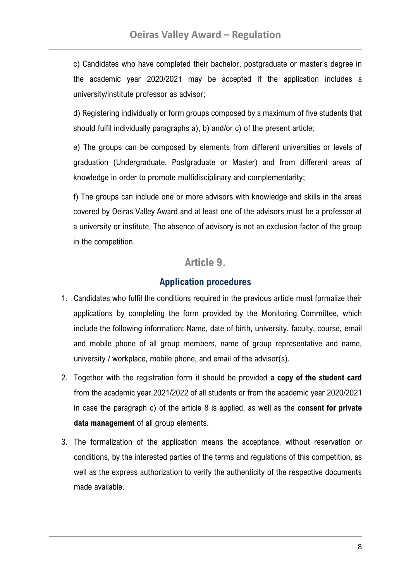c) Candidates who have completed their bachelor, postgraduate or master's degree in the academic year 2020/2021 may be accepted if the application includes a university/institute professor as advisor;

d) Registering individually or form groups composed by a maximum of five students that should fulfil individually paragraphs a), b) and/or c) of the present article;

e) The groups can be composed by elements from different universities or levels of graduation (Undergraduate, Postgraduate or Master) and from different areas of knowledge in order to promote multidisciplinary and complementarity;

f) The groups can include one or more advisors with knowledge and skills in the areas covered by Oeiras Valley Award and at least one of the advisors must be a professor at a university or institute. The absence of advisory is not an exclusion factor of the group in the competition.

#### **Article 9.**

#### **Application procedures**

- <span id="page-7-1"></span><span id="page-7-0"></span>1. Candidates who fulfil the conditions required in the previous article must formalize their applications by completing the form provided by the Monitoring Committee, which include the following information: Name, date of birth, university, faculty, course, email and mobile phone of all group members, name of group representative and name, university / workplace, mobile phone, and email of the advisor(s).
- 2. Together with the registration form it should be provided **a copy of the student card** from the academic year 2021/2022 of all students or from the academic year 2020/2021 in case the paragraph c) of the article 8 is applied, as well as the **consent for private data management** of all group elements.
- 3. The formalization of the application means the acceptance, without reservation or conditions, by the interested parties of the terms and regulations of this competition, as well as the express authorization to verify the authenticity of the respective documents made available.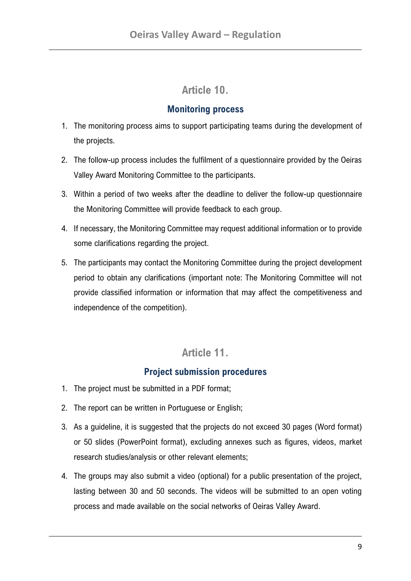# **Article 10.**

#### **Monitoring process**

- <span id="page-8-1"></span><span id="page-8-0"></span>1. The monitoring process aims to support participating teams during the development of the projects.
- 2. The follow-up process includes the fulfilment of a questionnaire provided by the Oeiras Valley Award Monitoring Committee to the participants.
- 3. Within a period of two weeks after the deadline to deliver the follow-up questionnaire the Monitoring Committee will provide feedback to each group.
- 4. If necessary, the Monitoring Committee may request additional information or to provide some clarifications regarding the project.
- 5. The participants may contact the Monitoring Committee during the project development period to obtain any clarifications (important note: The Monitoring Committee will not provide classified information or information that may affect the competitiveness and independence of the competition).

# **Article 11.**

#### **Project submission procedures**

- <span id="page-8-3"></span><span id="page-8-2"></span>1. The project must be submitted in a PDF format;
- 2. The report can be written in Portuguese or English;
- 3. As a guideline, it is suggested that the projects do not exceed 30 pages (Word format) or 50 slides (PowerPoint format), excluding annexes such as figures, videos, market research studies/analysis or other relevant elements;
- 4. The groups may also submit a video (optional) for a public presentation of the project, lasting between 30 and 50 seconds. The videos will be submitted to an open voting process and made available on the social networks of Oeiras Valley Award.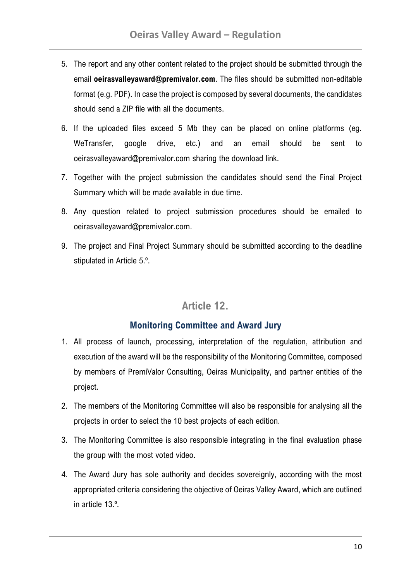- 5. The report and any other content related to the project should be submitted through the email **oeirasvalleyaward@premivalor.com**. The files should be submitted non-editable format (e.g. PDF). In case the project is composed by several documents, the candidates should send a ZIP file with all the documents.
- 6. If the uploaded files exceed 5 Mb they can be placed on online platforms (eg. WeTransfer, google drive, etc.) and an email should be sent to oeirasvalleyaward@premivalor.com sharing the download link.
- 7. Together with the project submission the candidates should send the Final Project Summary which will be made available in due time.
- 8. Any question related to project submission procedures should be emailed to oeirasvalleyaward@premivalor.com.
- 9. The project and Final Project Summary should be submitted according to the deadline stipulated in Article 5.º.

# **Article 12.**

#### **Monitoring Committee and Award Jury**

- <span id="page-9-1"></span><span id="page-9-0"></span>1. All process of launch, processing, interpretation of the regulation, attribution and execution of the award will be the responsibility of the Monitoring Committee, composed by members of PremiValor Consulting, Oeiras Municipality, and partner entities of the project.
- 2. The members of the Monitoring Committee will also be responsible for analysing all the projects in order to select the 10 best projects of each edition.
- 3. The Monitoring Committee is also responsible integrating in the final evaluation phase the group with the most voted video.
- 4. The Award Jury has sole authority and decides sovereignly, according with the most appropriated criteria considering the objective of Oeiras Valley Award, which are outlined in article 13.º.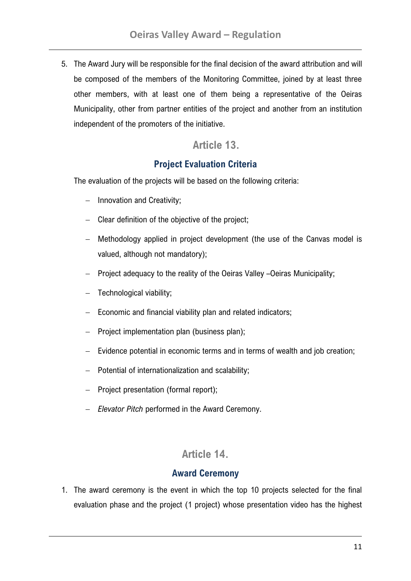5. The Award Jury will be responsible for the final decision of the award attribution and will be composed of the members of the Monitoring Committee, joined by at least three other members, with at least one of them being a representative of the Oeiras Municipality, other from partner entities of the project and another from an institution independent of the promoters of the initiative.

#### <span id="page-10-0"></span>**Article 13.**

#### **Project Evaluation Criteria**

<span id="page-10-1"></span>The evaluation of the projects will be based on the following criteria:

- − Innovation and Creativity;
- − Clear definition of the objective of the project;
- − Methodology applied in project development (the use of the Canvas model is valued, although not mandatory);
- − Project adequacy to the reality of the Oeiras Valley –Oeiras Municipality;
- Technological viability;
- − Economic and financial viability plan and related indicators;
- − Project implementation plan (business plan);
- − Evidence potential in economic terms and in terms of wealth and job creation;
- − Potential of internationalization and scalability;
- − Project presentation (formal report);
- − *Elevator Pitch* performed in the Award Ceremony.

#### **Article 14.**

#### **Award Ceremony**

<span id="page-10-3"></span><span id="page-10-2"></span>1. The award ceremony is the event in which the top 10 projects selected for the final evaluation phase and the project (1 project) whose presentation video has the highest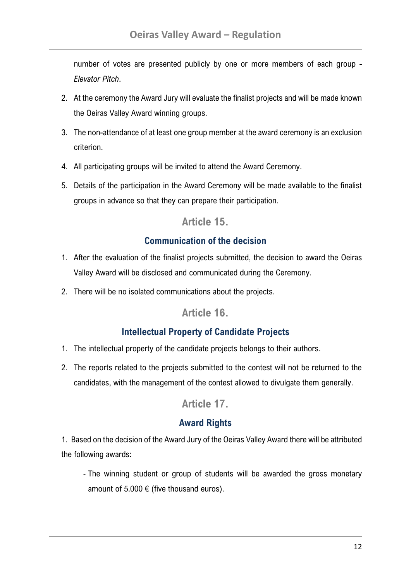number of votes are presented publicly by one or more members of each group - *Elevator Pitch*.

- 2. At the ceremony the Award Jury will evaluate the finalist projects and will be made known the Oeiras Valley Award winning groups.
- 3. The non-attendance of at least one group member at the award ceremony is an exclusion criterion.
- 4. All participating groups will be invited to attend the Award Ceremony.
- <span id="page-11-0"></span>5. Details of the participation in the Award Ceremony will be made available to the finalist groups in advance so that they can prepare their participation.

# **Article 15.**

#### **Communication of the decision**

- <span id="page-11-1"></span>1. After the evaluation of the finalist projects submitted, the decision to award the Oeiras Valley Award will be disclosed and communicated during the Ceremony.
- <span id="page-11-2"></span>2. There will be no isolated communications about the projects.

#### **Article 16.**

#### **Intellectual Property of Candidate Projects**

- <span id="page-11-3"></span>1. The intellectual property of the candidate projects belongs to their authors.
- <span id="page-11-4"></span>2. The reports related to the projects submitted to the contest will not be returned to the candidates, with the management of the contest allowed to divulgate them generally.

# **Article 17.**

#### **Award Rights**

<span id="page-11-5"></span>1. Based on the decision of the Award Jury of the Oeiras Valley Award there will be attributed the following awards:

- The winning student or group of students will be awarded the gross monetary amount of 5.000  $\epsilon$  (five thousand euros).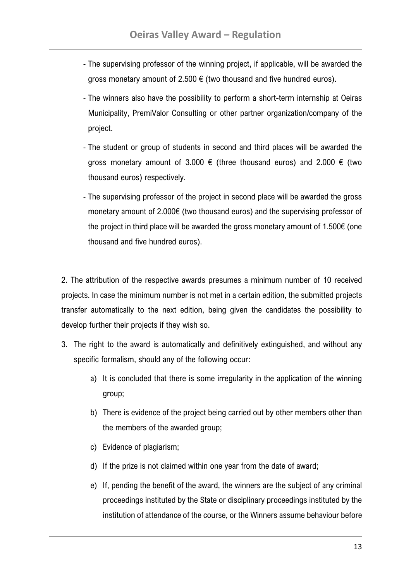- The supervising professor of the winning project, if applicable, will be awarded the gross monetary amount of 2.500  $\epsilon$  (two thousand and five hundred euros).
- The winners also have the possibility to perform a short-term internship at Oeiras Municipality, PremiValor Consulting or other partner organization/company of the project.
- The student or group of students in second and third places will be awarded the gross monetary amount of 3.000  $\epsilon$  (three thousand euros) and 2.000  $\epsilon$  (two thousand euros) respectively.
- The supervising professor of the project in second place will be awarded the gross monetary amount of 2.000€ (two thousand euros) and the supervising professor of the project in third place will be awarded the gross monetary amount of 1.500€ (one thousand and five hundred euros).

2. The attribution of the respective awards presumes a minimum number of 10 received projects. In case the minimum number is not met in a certain edition, the submitted projects transfer automatically to the next edition, being given the candidates the possibility to develop further their projects if they wish so.

- 3. The right to the award is automatically and definitively extinguished, and without any specific formalism, should any of the following occur:
	- a) It is concluded that there is some irregularity in the application of the winning group;
	- b) There is evidence of the project being carried out by other members other than the members of the awarded group;
	- c) Evidence of plagiarism;
	- d) If the prize is not claimed within one year from the date of award;
	- e) If, pending the benefit of the award, the winners are the subject of any criminal proceedings instituted by the State or disciplinary proceedings instituted by the institution of attendance of the course, or the Winners assume behaviour before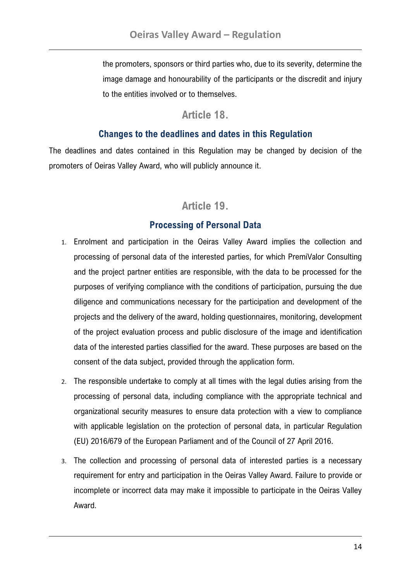the promoters, sponsors or third parties who, due to its severity, determine the image damage and honourability of the participants or the discredit and injury to the entities involved or to themselves.

#### **Article 18.**

#### **Changes to the deadlines and dates in this Regulation**

<span id="page-13-1"></span><span id="page-13-0"></span>The deadlines and dates contained in this Regulation may be changed by decision of the promoters of Oeiras Valley Award, who will publicly announce it.

# **Article 19.**

#### **Processing of Personal Data**

- <span id="page-13-3"></span><span id="page-13-2"></span>1. Enrolment and participation in the Oeiras Valley Award implies the collection and processing of personal data of the interested parties, for which PremiValor Consulting and the project partner entities are responsible, with the data to be processed for the purposes of verifying compliance with the conditions of participation, pursuing the due diligence and communications necessary for the participation and development of the projects and the delivery of the award, holding questionnaires, monitoring, development of the project evaluation process and public disclosure of the image and identification data of the interested parties classified for the award. These purposes are based on the consent of the data subject, provided through the application form.
- 2. The responsible undertake to comply at all times with the legal duties arising from the processing of personal data, including compliance with the appropriate technical and organizational security measures to ensure data protection with a view to compliance with applicable legislation on the protection of personal data, in particular Regulation (EU) 2016/679 of the European Parliament and of the Council of 27 April 2016.
- 3. The collection and processing of personal data of interested parties is a necessary requirement for entry and participation in the Oeiras Valley Award. Failure to provide or incomplete or incorrect data may make it impossible to participate in the Oeiras Valley Award.